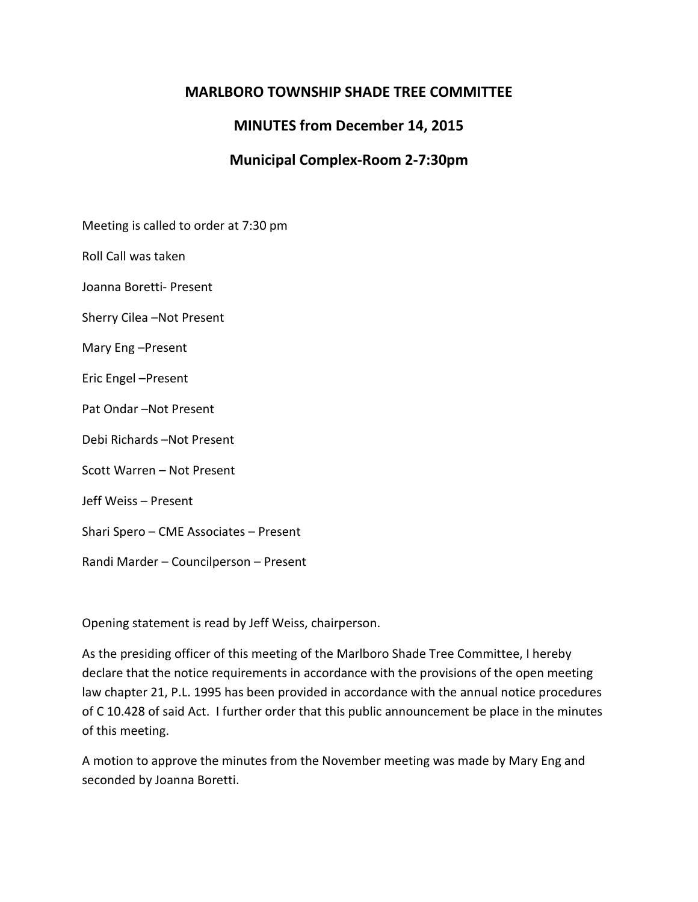# **MARLBORO TOWNSHIP SHADE TREE COMMITTEE**

# **MINUTES from December 14, 2015**

# **Municipal Complex-Room 2-7:30pm**

Meeting is called to order at 7:30 pm

Roll Call was taken

Joanna Boretti- Present

Sherry Cilea –Not Present

Mary Eng –Present

Eric Engel –Present

Pat Ondar –Not Present

Debi Richards –Not Present

Scott Warren – Not Present

Jeff Weiss – Present

Shari Spero – CME Associates – Present

Randi Marder – Councilperson – Present

Opening statement is read by Jeff Weiss, chairperson.

As the presiding officer of this meeting of the Marlboro Shade Tree Committee, I hereby declare that the notice requirements in accordance with the provisions of the open meeting law chapter 21, P.L. 1995 has been provided in accordance with the annual notice procedures of C 10.428 of said Act. I further order that this public announcement be place in the minutes of this meeting.

A motion to approve the minutes from the November meeting was made by Mary Eng and seconded by Joanna Boretti.